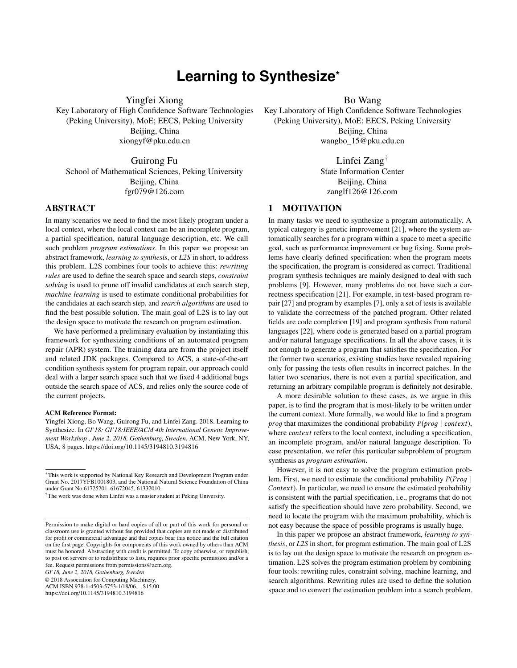# **Learning to Synthesize\***

Yingfei Xiong

Key Laboratory of High Confidence Software Technologies (Peking University), MoE; EECS, Peking University Beijing, China xiongyf@pku.edu.cn

Guirong Fu

School of Mathematical Sciences, Peking University Beijing, China fgr079@126.com

# ABSTRACT

In many scenarios we need to find the most likely program under a local context, where the local context can be an incomplete program, a partial specification, natural language description, etc. We call such problem *program estimations*. In this paper we propose an abstract framework, *learning to synthesis*, or *L2S* in short, to address this problem. L2S combines four tools to achieve this: *rewriting rules* are used to define the search space and search steps, *constraint solving* is used to prune off invalid candidates at each search step, *machine learning* is used to estimate conditional probabilities for the candidates at each search step, and *search algorithms* are used to find the best possible solution. The main goal of L2S is to lay out the design space to motivate the research on program estimation.

We have performed a preliminary evaluation by instantiating this framework for synthesizing conditions of an automated program repair (APR) system. The training data are from the project itself and related JDK packages. Compared to ACS, a state-of-the-art condition synthesis system for program repair, our approach could deal with a larger search space such that we fixed 4 additional bugs outside the search space of ACS, and relies only the source code of the current projects.

#### ACM Reference Format:

Yingfei Xiong, Bo Wang, Guirong Fu, and Linfei Zang. 2018. Learning to Synthesize. In *GI'18: GI'18:IEEE/ACM 4th International Genetic Improvement Workshop , June 2, 2018, Gothenburg, Sweden.* ACM, New York, NY, USA, [8](#page-7-0) pages.<https://doi.org/10.1145/3194810.3194816>

*GI'18, June 2, 2018, Gothenburg, Sweden*

© 2018 Association for Computing Machinery.

ACM ISBN 978-1-4503-5753-1/18/06. . . \$15.00 <https://doi.org/10.1145/3194810.3194816>

Bo Wang

Key Laboratory of High Confidence Software Technologies (Peking University), MoE; EECS, Peking University Beijing, China wangbo\_15@pku.edu.cn

> Linfei Zang† State Information Center Beijing, China zanglf126@126.com

# 1 MOTIVATION

In many tasks we need to synthesize a program automatically. A typical category is genetic improvement [\[21\]](#page-7-1), where the system automatically searches for a program within a space to meet a specific goal, such as performance improvement or bug fixing. Some problems have clearly defined specification: when the program meets the specification, the program is considered as correct. Traditional program synthesis techniques are mainly designed to deal with such problems [\[9\]](#page-7-2). However, many problems do not have such a correctness specification [\[21\]](#page-7-1). For example, in test-based program repair [\[27\]](#page-7-3) and program by examples [\[7\]](#page-7-4), only a set of tests is available to validate the correctness of the patched program. Other related fields are code completion [\[19\]](#page-7-5) and program synthesis from natural languages [\[22\]](#page-7-6), where code is generated based on a partial program and/or natural language specifications. In all the above cases, it is not enough to generate a program that satisfies the specification. For the former two scenarios, existing studies have revealed repairing only for passing the tests often results in incorrect patches. In the latter two scenarios, there is not even a partial specification, and returning an arbitrary compilable program is definitely not desirable.

A more desirable solution to these cases, as we argue in this paper, is to find the program that is most-likely to be written under the current context. More formally, we would like to find a program *proq* that maximizes the conditional probability  $P(proq \mid context)$ , where *context* refers to the local context, including a specification, an incomplete program, and/or natural language description. To ease presentation, we refer this particular subproblem of program synthesis as *program estimation*.

However, it is not easy to solve the program estimation problem. First, we need to estimate the conditional probability  $P(Proq)$ Context). In particular, we need to ensure the estimated probability is consistent with the partial specification, i.e., programs that do not satisfy the specification should have zero probability. Second, we need to locate the program with the maximum probability, which is not easy because the space of possible programs is usually huge.

In this paper we propose an abstract framework, *learning to synthesis*, or *L2S* in short, for program estimation. The main goal of L2S is to lay out the design space to motivate the research on program estimation. L2S solves the program estimation problem by combining four tools: rewriting rules, constraint solving, machine learning, and search algorithms. Rewriting rules are used to define the solution space and to convert the estimation problem into a search problem.

<sup>\*</sup>This work is supported by National Key Research and Development Program under Grant No. 2017YFB1001803, and the National Natural Science Foundation of China under Grant No.61725201, 61672045, 61332010.

<sup>†</sup>The work was done when Linfei was a master student at Peking University.

Permission to make digital or hard copies of all or part of this work for personal or classroom use is granted without fee provided that copies are not made or distributed for profit or commercial advantage and that copies bear this notice and the full citation on the first page. Copyrights for components of this work owned by others than ACM must be honored. Abstracting with credit is permitted. To copy otherwise, or republish, to post on servers or to redistribute to lists, requires prior specific permission and/or a fee. Request permissions from permissions@acm.org.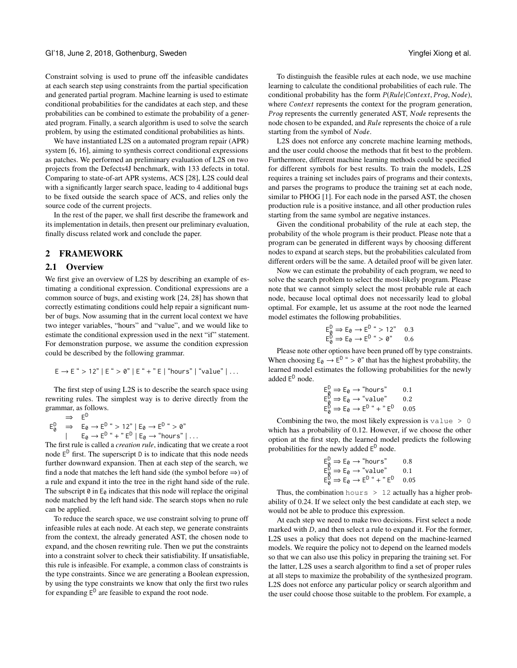Constraint solving is used to prune off the infeasible candidates at each search step using constraints from the partial specification and generated partial program. Machine learning is used to estimate conditional probabilities for the candidates at each step, and these probabilities can be combined to estimate the probability of a generated program. Finally, a search algorithm is used to solve the search problem, by using the estimated conditional probabilities as hints.

We have instantiated L2S on a automated program repair (APR) system [\[6,](#page-7-7) [16\]](#page-7-8), aiming to synthesis correct conditional expressions as patches. We performed an preliminary evaluation of L2S on two projects from the Defects4J benchmark, with 133 defects in total. Comparing to state-of-art APR systems, ACS [\[28\]](#page-7-9), L2S could deal with a significantly larger search space, leading to 4 additional bugs to be fixed outside the search space of ACS, and relies only the source code of the current projects.

In the rest of the paper, we shall first describe the framework and its implementation in details, then present our preliminary evaluation, finally discuss related work and conclude the paper.

#### 2 FRAMEWORK

#### 2.1 Overview

We first give an overview of L2S by describing an example of estimating a conditional expression. Conditional expressions are a common source of bugs, and existing work [\[24,](#page-7-10) [28\]](#page-7-9) has shown that correctly estimating conditions could help repair a significant number of bugs. Now assuming that in the current local context we have two integer variables, "hours" and "value", and we would like to estimate the conditional expression used in the next "if" statement. For demonstration purpose, we assume the condition expression could be described by the following grammar.

$$
E \to E^* > 12^{"}
$$
 |  $E^* > 0^{"}$  |  $E^* + "E$  | "hours" | "value" | ...

The first step of using L2S is to describe the search space using rewriting rules. The simplest way is to derive directly from the grammar, as follows.

$$
\begin{array}{cccc}\n & \Rightarrow & E^D \\
E^D_\theta & \Rightarrow & E_\theta \rightarrow E^D \text{ ``} > 12 \text{''} \mid E_\theta \rightarrow E^D \text{ ``} > \theta \text{''} \\
 & \mid & E_\theta \rightarrow E^D \text{ ``} + \text{''} E^D \mid E_\theta \rightarrow \text{``hours''} \mid \dots\n\end{array}
$$

 $| \tE_{\theta} \rightarrow E^{D}$  " + "  $E^{D} | E_{\theta} \rightarrow$  "hours" | ...<br>The first rule is called a *creation rule*, indicating that we create a root node  $E^D$  first. The superscript D is to indicate that this node needs further downward expansion. Then at each step of the search, we find a node that matches the left hand side (the symbol before  $\Rightarrow$ ) of a rule and expand it into the tree in the right hand side of the rule. The subscript  $\theta$  in E<sub> $\theta$ </sub> indicates that this node will replace the original node matched by the left hand side. The search stops when no rule can be applied.

To reduce the search space, we use constraint solving to prune off infeasible rules at each node. At each step, we generate constraints from the context, the already generated AST, the chosen node to expand, and the chosen rewriting rule. Then we put the constraints into a constraint solver to check their satisfiability. If unsatisfiable, this rule is infeasible. For example, a common class of constraints is the type constraints. Since we are generating a Boolean expression, by using the type constraints we know that only the first two rules for expanding  $E^D$  are feasible to expand the root node.

To distinguish the feasible rules at each node, we use machine learning to calculate the conditional probabilities of each rule. The conditional probability has the form  $P(Rule|Context, Prog, Node),$ where Context represents the context for the program generation, Prog represents the currently generated AST, Node represents the node chosen to be expanded, and Rule represents the choice of a rule starting from the symbol of Node.

L2S does not enforce any concrete machine learning methods, and the user could choose the methods that fit best to the problem. Furthermore, different machine learning methods could be specified for different symbols for best results. To train the models, L2S requires a training set includes pairs of programs and their contexts, and parses the programs to produce the training set at each node, similar to PHOG [\[1\]](#page-7-11). For each node in the parsed AST, the chosen production rule is a positive instance, and all other production rules starting from the same symbol are negative instances.

Given the conditional probability of the rule at each step, the probability of the whole program is their product. Please note that a program can be generated in different ways by choosing different nodes to expand at search steps, but the probabilities calculated from different orders will be the same. A detailed proof will be given later.

Now we can estimate the probability of each program, we need to solve the search problem to select the most-likely program. Please note that we cannot simply select the most probable rule at each node, because local optimal does not necessarily lead to global optimal. For example, let us assume at the root node the learned model estimates the following probabilities.

$$
\mathsf{E}^{\mathsf{D}}_{\mathsf{B}} \Rightarrow \mathsf{E}_{\mathsf{B}} \rightarrow \mathsf{E}^{\mathsf{D}} \overset{\omega}{\rightarrow} 12 \overset{\omega}{\rightarrow} 0.3
$$
  

$$
\mathsf{E}^{\mathsf{D}}_{\mathsf{B}} \Rightarrow \mathsf{E}_{\mathsf{B}} \rightarrow \mathsf{E}^{\mathsf{D}} \overset{\omega}{\rightarrow} 8 \overset{\omega}{\rightarrow} 0 \overset{\omega}{\rightarrow} 0.6
$$

 $E_{\theta}^{\text{U}} \Rightarrow E_{\theta} \rightarrow E^{\text{U}} \degree > \theta^{\text{V}} \degree$  0.6<br>Please note other options have been pruned off by type constraints. When choosing  $E_0 \rightarrow E^D$  " > 0" that has the highest probability, the learned model estimates the following probabilities for the newly learned model estimates the following probabilities for the newly added E <sup>D</sup> node.

$$
\begin{aligned}\n\mathsf{E}^{\mathsf{D}}_0 &\Rightarrow \mathsf{E}_0 \rightarrow \text{``hours''} & 0.1 \\
\mathsf{E}^{\mathsf{D}}_0 &\Rightarrow \mathsf{E}_0 \rightarrow \text{``value''} & 0.2 \\
\mathsf{E}^{\mathsf{D}}_0 &\Rightarrow \mathsf{E}_0 \rightarrow \mathsf{E}^{\mathsf{D}} \text{``+ } \text{``E}^{\mathsf{D}} & 0.05\n\end{aligned}
$$

 $E_{\emptyset}^{\mathsf{D}} \Rightarrow E_{\emptyset} \rightarrow E^{\mathsf{D} \mathsf{u}} + {}^{\mathsf{v}} E^{\mathsf{D}}$  0.05<br>Combining the two, the most likely expression is value > 0 which has a probability of 0.12. However, if we choose the other option at the first step, the learned model predicts the following probabilities for the newly added  $E^D$  node.

$$
E_Q^D \Rightarrow E_Q \rightarrow \text{``hours''} \qquad 0.8
$$
  
\n
$$
E_Q^D \Rightarrow E_Q \rightarrow \text{``value''} \qquad 0.1
$$
  
\n
$$
E_Q^D \Rightarrow E_Q \rightarrow E^D \text{``+''} E^D \qquad 0.05
$$

 $E_0^D \Rightarrow E_0 \rightarrow E^{D^*} + E^{D^*} = 0.05$ <br>Thus, the combination hours  $\geq 12$  actually has a higher probability of 0.24. If we select only the best candidate at each step, we would not be able to produce this expression.

At each step we need to make two decisions. First select a node marked with D, and then select a rule to expand it. For the former, L2S uses a policy that does not depend on the machine-learned models. We require the policy not to depend on the learned models so that we can also use this policy in preparing the training set. For the latter, L2S uses a search algorithm to find a set of proper rules at all steps to maximize the probability of the synthesized program. L2S does not enforce any particular policy or search algorithm and the user could choose those suitable to the problem. For example, a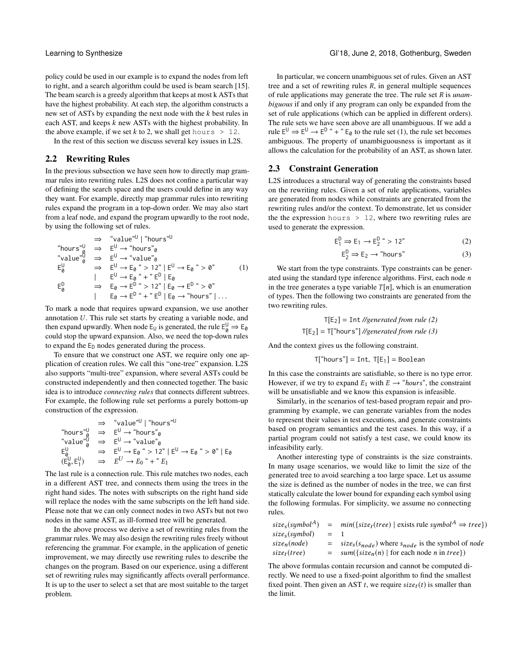policy could be used in our example is to expand the nodes from left to right, and a search algorithm could be used is beam search [\[15\]](#page-7-12). The beam search is a greedy algorithm that keeps at most k ASTs that have the highest probability. At each step, the algorithm constructs a new set of ASTs by expanding the next node with the k best rules in each AST, and keeps  $k$  new ASTs with the highest probability. In the above example, if we set k to 2, we shall get hours  $> 12$ .

In the rest of this section we discuss several key issues in L2S.

### 2.2 Rewriting Rules

In the previous subsection we have seen how to directly map grammar rules into rewriting rules. L2S does not confine a particular way of defining the search space and the users could define in any way they want. For example, directly map grammar rules into rewriting rules expand the program in a top-down order. We may also start from a leaf node, and expand the program upwardly to the root node, by using the following set of rules.

<span id="page-2-0"></span>
$$
\Rightarrow \text{ "value"} \text{ "hours"} \Rightarrow \text{ } E^{\text{U}} \rightarrow \text{ "hours"} \text{0}
$$
\n
$$
\text{ "value"} \text{ 0} \Rightarrow \text{ } E^{\text{U}} \rightarrow \text{ "value"} \text{ 0}
$$
\n
$$
\text{E}^{\text{U}}_{\text{0}} \Rightarrow \text{ } E^{\text{U}} \rightarrow \text{E}_{\text{0}} \text{ 0} \times 12 \text{ } | \text{ } E^{\text{U}} \rightarrow E_{\text{0}} \text{ 0} \times 12 \text{ } | \text{ } E^{\text{U}} \rightarrow E_{\text{0}} \text{ 0} \times 12 \text{ } | \text{ } E^{\text{U}} \rightarrow E_{\text{0}} \text{ 0} \times 12 \text{ } | \text{ } E^{\text{U}} \rightarrow E_{\text{0}} \text{ 0} \times 12 \text{ } | \text{ } E^{\text{U}} \rightarrow E^{\text{D}} \text{ 0} \times 12 \text{ } | \text{ } E^{\text{D}} \rightarrow E^{\text{D}} \text{ 0} \times 12 \text{ } | \text{ } E^{\text{D}} \rightarrow E^{\text{D}} \text{ 0} \times 12 \text{ } | \text{ } E^{\text{D}} \rightarrow E^{\text{D}} \text{ 0} \times 12 \text{ } | \text{ } E^{\text{D}} \rightarrow E^{\text{D}} \text{ 0} \times 12 \text{ } | \text{ } E^{\text{D}} \rightarrow E^{\text{D}} \text{ 0} \times 12 \text{ } | \text{ } E^{\text{D}} \rightarrow E^{\text{D}} \text{ 0} \times 12 \text{ } | \text{ } E^{\text{D}} \rightarrow E^{\text{D}} \text{ 0} \times 12 \text{ } | \text{ } E^{\text{D}} \rightarrow E^{\text{D}} \text{ 0} \times 12 \text{ } | \text{ } E^{\text{D}} \rightarrow E^{\text{D}} \text{ 0} \times 12 \text{ } | \text{ } E^{\text{D}} \rightarrow E^{\text{D}} \text{ 0} \times 12 \text{ } | \text{ } E^{\text{D}} \rightarrow E^{\text{D}} \text{ 0} \times 12 \text{ } | \text{ } E^{\text{D}} \rightarrow E^{\text{D}} \text{ 0} \times 12
$$

To mark a node that requires upward expansion, we use another annotation  $U$ . This rule set starts by creating a variable node, and then expand upwardly. When node  $E_U$  is generated, the rule  $E_{\emptyset}^U \Rightarrow E_{\emptyset}$ could stop the upward expansion. Also, we need the top-down rules to expand the  $E_D$  nodes generated during the process.

To ensure that we construct one AST, we require only one application of creation rules. We call this "one-tree" expansion. L2S also supports "multi-tree" expansion, where several ASTs could be constructed independently and then connected together. The basic idea is to introduce *connecting rules* that connects different subtrees. For example, the following rule set performs a purely bottom-up construction of the expression.

$$
\Rightarrow \text{ "value" } U \text{ "hours" } U
$$
\n
$$
\Rightarrow E^U \rightarrow \text{ "hours" } O
$$
\n
$$
\text{ "value" } O
$$
\n
$$
E^U \rightarrow \text{ "value" } O
$$
\n
$$
E^U \rightarrow \text{ "value" } O
$$
\n
$$
E^U \rightarrow E_0 \text{ "}> 12" | E^U \rightarrow E_0 \text{ "}> 0" | E_0
$$
\n
$$
(E_0^U, E_1^U) \Rightarrow E^U \rightarrow E_0 \text{ " + " } E_1
$$

The last rule is a connection rule. This rule matches two nodes, each in a different AST tree, and connects them using the trees in the right hand sides. The notes with subscripts on the right hand side will replace the nodes with the same subscripts on the left hand side. Please note that we can only connect nodes in two ASTs but not two nodes in the same AST, as ill-formed tree will be generated.

In the above process we derive a set of rewriting rules from the grammar rules. We may also design the rewriting rules freely without referencing the grammar. For example, in the application of genetic improvement, we may directly use rewriting rules to describe the changes on the program. Based on our experience, using a different set of rewriting rules may significantly affects overall performance. It is up to the user to select a set that are most suitable to the target problem.

In particular, we concern unambiguous set of rules. Given an AST tree and a set of rewriting rules  $R$ , in general multiple sequences of rule applications may generate the tree. The rule set R is *unambiguous* if and only if any program can only be expanded from the set of rule applications (which can be applied in different orders). The rule sets we have seen above are all unambiguous. If we add a rule  $E^{\cup} \Rightarrow E^{\cup} \rightarrow E^{\cup}$  " + "  $E_{\emptyset}$  to the rule set [\(1\)](#page-2-0), the rule set becomes ambiguous. The property of unambiguousness is important as it allows the calculation for the probability of an AST, as shown later.

## <span id="page-2-3"></span>2.3 Constraint Generation

L2S introduces a structural way of generating the constraints based on the rewriting rules. Given a set of rule applications, variables are generated from nodes while constraints are generated from the rewriting rules and/or the context. To demonstrate, let us consider the the expression hours  $> 12$ , where two rewriting rules are used to generate the expression.

$$
E_1^D \Rightarrow E_1 \rightarrow E_2^D \text{``} > 12\text{''} \tag{2}
$$

<span id="page-2-2"></span><span id="page-2-1"></span>
$$
E_2^D \Rightarrow E_2 \rightarrow \text{"hours"} \tag{3}
$$

We start from the type constraints. Type constraints can be generated using the standard type inference algorithms. First, each node  $n$ in the tree generates a type variable  $T[n]$ , which is an enumeration of types. Then the following two constraints are generated from the two rewriting rules.

$$
T[E_2] = Int \text{ /} \text{/} \text{generated from rule (2)}
$$

$$
T[E_2] = T["hours"] \text{ /} \text{?} \text{generated from rule (3)}
$$

And the context gives us the following constraint.

$$
T["hours"] = Int, T[E_1] = Boolean
$$

In this case the constraints are satisfiable, so there is no type error. However, if we try to expand  $E_1$  with  $E \rightarrow$  "hours", the constraint will be unsatisfiable and we know this expansion is infeasible.

Similarly, in the scenarios of test-based program repair and programming by example, we can generate variables from the nodes to represent their values in test executions, and generate constraints based on program semantics and the test cases. In this way, if a partial program could not satisfy a test case, we could know its infeasibility early.

Another interesting type of constraints is the size constraints. In many usage scenarios, we would like to limit the size of the generated tree to avoid searching a too large space. Let us assume the size is defined as the number of nodes in the tree, we can first statically calculate the lower bound for expanding each symbol using the following formulas. For simplicity, we assume no connecting rules.

| $size_s(symbol^A)$  |     | $= min({sizet(tree)   exists rule symbolA \Rightarrow tree})$                            |
|---------------------|-----|------------------------------------------------------------------------------------------|
| $size_{s}$ (symbol) | $=$ |                                                                                          |
| $size_n(node)$      |     | $=$ size <sub>s</sub> (s <sub>node</sub> ) where s <sub>node</sub> is the symbol of node |
| $size_t(tree)$      |     | $= \text{sum}(\{size_n(n)   \text{for each node } n \text{ in } tree\})$                 |
|                     |     |                                                                                          |

The above formulas contain recursion and cannot be computed directly. We need to use a fixed-point algorithm to find the smallest fixed point. Then given an AST t, we require  $size<sub>t</sub>(t)$  is smaller than the limit.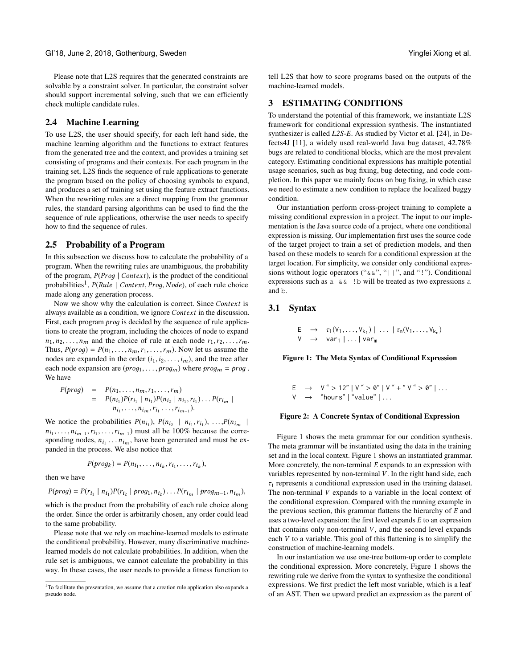Please note that L2S requires that the generated constraints are solvable by a constraint solver. In particular, the constraint solver should support incremental solving, such that we can efficiently check multiple candidate rules.

#### 2.4 Machine Learning

To use L2S, the user should specify, for each left hand side, the machine learning algorithm and the functions to extract features from the generated tree and the context, and provides a training set consisting of programs and their contexts. For each program in the training set, L2S finds the sequence of rule applications to generate the program based on the policy of choosing symbols to expand, and produces a set of training set using the feature extract functions. When the rewriting rules are a direct mapping from the grammar rules, the standard parsing algorithms can be used to find the the sequence of rule applications, otherwise the user needs to specify how to find the sequence of rules.

# 2.5 Probability of a Program

In this subsection we discuss how to calculate the probability of a program. When the rewriting rules are unambiguous, the probability of the program,  $P(Proq | Context)$ , is the product of the conditional probabilities<sup>[1](#page-3-0)</sup>,  $P(Rule | Context, Prog, Node)$ , of each rule choice made along any generation process made along any generation process.

Now we show why the calculation is correct. Since Context is always available as a condition, we ignore Context in the discussion. First, each program *prog* is decided by the sequence of rule applications to create the program, including the choices of node to expand  $n_1, n_2, \ldots, n_m$  and the choice of rule at each node  $r_1, r_2, \ldots, r_m$ . Thus,  $P(prog) = P(n_1, \ldots, n_m, r_1, \ldots, r_m)$ . Now let us assume the nodes are expanded in the order  $(i_1, i_2, \ldots, i_m)$ , and the tree after each node expansion are  $(prog_1, \ldots, prog_m)$  where  $prog_m = prog$ . We have

$$
P(prog) = P(n_1, ..., n_m, r_1, ..., r_m)
$$
  
=  $P(n_{i_1})P(r_{i_1} | n_{i_1})P(n_{i_2} | n_{i_1}, r_{i_1})...P(r_{i_m} | n_{i_1}, ..., n_{i_m}, r_{i_1}..., r_{i_{m-1}}).$ 

We notice the probabilities  $P(n_{i_1}), P(n_{i_2} \mid n_{i_1}, r_{i_1}), \ldots, P(n_{i_m} \mid n_{i_1}, \ldots, n_{i_m})$  must all be 100% because the corre $n_{i_1}, \ldots, n_{i_{m-1}}, r_{i_1}, \ldots, r_{i_{m-1}}$  must all be 100% because the corre-<br>sponding nodes  $n_i$ , baye been generated and must be exsponding nodes,  $n_{i_1} \nldots n_{i_m}$ , have been generated and must be ex-<br>panded in the process. We also notice that panded in the process. We also notice that

$$
P(prog_k) = P(n_{i_1},\ldots,n_{i_k},r_{i_1},\ldots,r_{i_k}),
$$

then we have

$$
P(prog) = P(r_{i_1} | n_{i_1}) P(r_{i_2} | prog_1, n_{i_2}) \dots P(r_{i_m} | prog_{m-1}, n_{i_m}),
$$

which is the product from the probability of each rule choice along the order. Since the order is arbitrarily chosen, any order could lead to the same probability.

Please note that we rely on machine-learned models to estimate the conditional probability. However, many discriminative machinelearned models do not calculate probabilities. In addition, when the rule set is ambiguous, we cannot calculate the probability in this way. In these cases, the user needs to provide a fitness function to

tell L2S that how to score programs based on the outputs of the machine-learned models.

## 3 ESTIMATING CONDITIONS

To understand the potential of this framework, we instantiate L2S framework for conditional expression synthesis. The instantiated synthesizer is called *L2S-E*. As studied by Victor et al. [\[24\]](#page-7-10), in Defects4J [\[11\]](#page-7-13), a widely used real-world Java bug dataset, 42.78% bugs are related to conditional blocks, which are the most prevalent category. Estimating conditional expressions has multiple potential usage scenarios, such as bug fixing, bug detecting, and code completion. In this paper we mainly focus on bug fixing, in which case we need to estimate a new condition to replace the localized buggy condition.

Our instantiation perform cross-project training to complete a missing conditional expression in a project. The input to our implementation is the Java source code of a project, where one conditional expression is missing. Our implementation first uses the source code of the target project to train a set of prediction models, and then based on these models to search for a conditional expression at the target location. For simplicity, we consider only conditional expressions without logic operators (" $\&\&$ ", "||", and "!"). Conditional expressions such as a && !b will be treated as two expressions a and b.

## <span id="page-3-1"></span>3.1 Syntax

$$
\begin{array}{ccc} E & \to & \tau_1(V_1,\ldots,V_{k_1}) \mid \ldots \mid \tau_n(V_1,\ldots,V_{k_n}) \\ V & \to & \text{var}_1 \mid \ldots \mid \text{var}_m \end{array}
$$

Figure 1: The Meta Syntax of Conditional Expression

$$
E \rightarrow V^* > 12^n |V^* > 0^n |V^* + "V^* > 0^n | ...
$$
  
\n
$$
V \rightarrow \text{"hours"} | \text{"value"} | ...
$$

#### Figure 2: A Concrete Syntax of Conditional Expression

Figure [1](#page-3-1) shows the meta grammar for our condition synthesis. The meta grammar will be instantiated using the data in the training set and in the local context. Figure [1](#page-3-1) shows an instantiated grammar. More concretely, the non-terminal  $E$  expands to an expression with variables represented by non-terminal  $V$ . In the right hand side, each  $\tau_i$  represents a conditional expression used in the training dataset. The non-terminal V expands to a variable in the local context of the conditional expression. Compared with the running example in the previous section, this grammar flattens the hierarchy of  $E$  and uses a two-level expansion: the first level expands  $E$  to an expression that contains only non-terminal  $V$ , and the second level expands each V to a variable. This goal of this flattening is to simplify the construction of machine-learning models.

In our instantiation we use one-tree bottom-up order to complete the conditional expression. More concretely, Figure [1](#page-3-1) shows the rewriting rule we derive from the syntax to synthesize the conditional expressions. We first predict the left most variable, which is a leaf of an AST. Then we upward predict an expression as the parent of

<span id="page-3-0"></span><sup>&</sup>lt;sup>1</sup>To facilitate the presentation, we assume that a creation rule application also expands a pseudo node.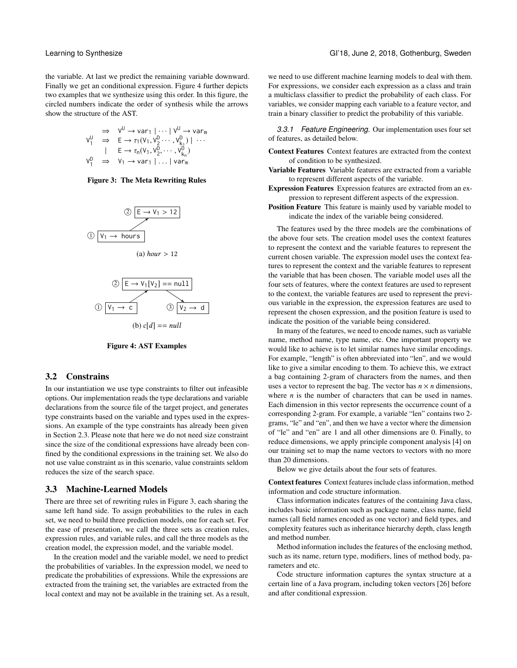the variable. At last we predict the remaining variable downward. Finally we get an conditional expression. Figure [4](#page-4-0) further depicts two examples that we synthesize using this order. In this figure, the circled numbers indicate the order of synthesis while the arrows show the structure of the AST.

<span id="page-4-1"></span>
$$
\begin{array}{rcl}\n\Rightarrow & V^{\mathsf{U}} \rightarrow \text{var}_1 \mid \cdots \mid V^{\mathsf{U}} \rightarrow \text{var}_m \\
V_1^{\mathsf{U}} & \Rightarrow & \mathsf{E} \rightarrow \tau_1(V_1, V_2^{\mathsf{D}} \cdots, V_{\mathsf{K}_1}^{\mathsf{D}}) \mid \cdots \\
& \mid & \mathsf{E} \rightarrow \tau_n(V_1, V_2^{\mathsf{D}}, \cdots, V_{\mathsf{K}_n}^{\mathsf{D}}) \\
V_1^{\mathsf{D}} & \Rightarrow & \mathsf{V}_1 \rightarrow \text{var}_1 \mid \ldots \mid \text{var}_m\n\end{array}
$$

#### Figure 3: The Meta Rewriting Rules

<span id="page-4-0"></span>



Figure 4: AST Examples

#### 3.2 Constrains

In our instantiation we use type constraints to filter out infeasible options. Our implementation reads the type declarations and variable declarations from the source file of the target project, and generates type constraints based on the variable and types used in the expressions. An example of the type constraints has already been given in Section [2.3.](#page-2-3) Please note that here we do not need size constraint since the size of the conditional expressions have already been confined by the conditional expressions in the training set. We also do not use value constraint as in this scenario, value constraints seldom reduces the size of the search space.

#### 3.3 Machine-Learned Models

There are three set of rewriting rules in Figure [3,](#page-4-1) each sharing the same left hand side. To assign probabilities to the rules in each set, we need to build three prediction models, one for each set. For the ease of presentation, we call the three sets as creation rules, expression rules, and variable rules, and call the three models as the creation model, the expression model, and the variable model.

In the creation model and the variable model, we need to predict the probabilities of variables. In the expression model, we need to predicate the probabilities of expressions. While the expressions are extracted from the training set, the variables are extracted from the local context and may not be available in the training set. As a result, we need to use different machine learning models to deal with them. For expressions, we consider each expression as a class and train a multiclass classifier to predict the probability of each class. For variables, we consider mapping each variable to a feature vector, and train a binary classifier to predict the probability of this variable.

*3.3.1 Feature Engineering.* Our implementation uses four set of features, as detailed below.

- Context Features Context features are extracted from the context of condition to be synthesized.
- Variable Features Variable features are extracted from a variable to represent different aspects of the variable.
- Expression Features Expression features are extracted from an expression to represent different aspects of the expression.
- Position Feature This feature is mainly used by variable model to indicate the index of the variable being considered.

The features used by the three models are the combinations of the above four sets. The creation model uses the context features to represent the context and the variable features to represent the current chosen variable. The expression model uses the context features to represent the context and the variable features to represent the variable that has been chosen. The variable model uses all the four sets of features, where the context features are used to represent to the context, the variable features are used to represent the previous variable in the expression, the expression features are used to represent the chosen expression, and the position feature is used to indicate the position of the variable being considered.

In many of the features, we need to encode names, such as variable name, method name, type name, etc. One important property we would like to achieve is to let similar names have similar encodings. For example, "length" is often abbreviated into "len", and we would like to give a similar encoding to them. To achieve this, we extract a bag containing 2-gram of characters from the names, and then uses a vector to represent the bag. The vector has  $n \times n$  dimensions, where  $n$  is the number of characters that can be used in names. Each dimension in this vector represents the occurrence count of a corresponding 2-gram. For example, a variable "len" contains two 2 grams, "le" and "en", and then we have a vector where the dimension of "le" and "en" are 1 and all other dimensions are 0. Finally, to reduce dimensions, we apply principle component analysis [\[4\]](#page-7-14) on our training set to map the name vectors to vectors with no more than 20 dimensions.

Below we give details about the four sets of features.

Context features Context features include class information, method information and code structure information.

Class information indicates features of the containing Java class, includes basic information such as package name, class name, field names (all field names encoded as one vector) and field types, and complexity features such as inheritance hierarchy depth, class length and method number.

Method information includes the features of the enclosing method, such as its name, return type, modifiers, lines of method body, parameters and etc.

Code structure information captures the syntax structure at a certain line of a Java program, including token vectors [\[26\]](#page-7-15) before and after conditional expression.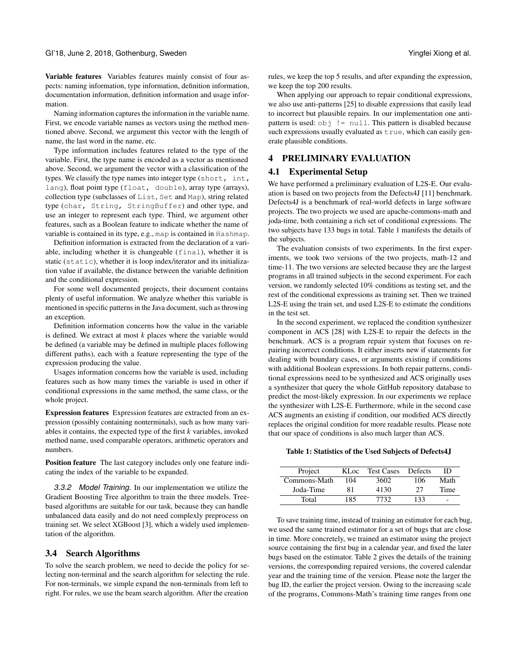Variable features Variables features mainly consist of four aspects: naming information, type information, definition information, documentation information, definition information and usage information.

Naming information captures the information in the variable name. First, we encode variable names as vectors using the method mentioned above. Second, we argument this vector with the length of name, the last word in the name, etc.

Type information includes features related to the type of the variable. First, the type name is encoded as a vector as mentioned above. Second, we argument the vector with a classification of the types. We classify the type names into integer type (short, int, lang), float point type (float, double), array type (arrays), collection type (subclasses of List, Set and Map), string related type (char, String, StringBuffer) and other type, and use an integer to represent each type. Third, we argument other features, such as a Boolean feature to indicate whether the name of variable is contained in its type, e.g., map is contained in Hashmap.

Definition information is extracted from the declaration of a variable, including whether it is changeable (final), whether it is static (static), whether it is loop index/iterator and its initialization value if available, the distance between the variable definition and the conditional expression.

For some well documented projects, their document contains plenty of useful information. We analyze whether this variable is mentioned in specific patterns in the Java document, such as throwing an exception.

Definition information concerns how the value in the variable is defined. We extract at most  $k$  places where the variable would be defined (a variable may be defined in multiple places following different paths), each with a feature representing the type of the expression producing the value.

Usages information concerns how the variable is used, including features such as how many times the variable is used in other if conditional expressions in the same method, the same class, or the whole project.

Expression features Expression features are extracted from an expression (possibly containing nonterminals), such as how many variables it contains, the expected type of the first  $k$  variables, invoked method name, used comparable operators, arithmetic operators and numbers.

Position feature The last category includes only one feature indicating the index of the variable to be expanded.

*3.3.2 Model Training.* In our implementation we utilize the Gradient Boosting Tree algorithm to train the three models. Treebased algorithms are suitable for our task, because they can handle unbalanced data easily and do not need complexly preprocess on training set. We select XGBoost [\[3\]](#page-7-16), which a widely used implementation of the algorithm.

## 3.4 Search Algorithms

To solve the search problem, we need to decide the policy for selecting non-terminal and the search algorithm for selecting the rule. For non-terminals, we simple expand the non-terminals from left to right. For rules, we use the beam search algorithm. After the creation

rules, we keep the top 5 results, and after expanding the expression, we keep the top 200 results.

When applying our approach to repair conditional expressions, we also use anti-patterns [\[25\]](#page-7-17) to disable expressions that easily lead to incorrect but plausible repairs. In our implementation one antipattern is used:  $obj$  !=  $null$ . This pattern is disabled because such expressions usually evaluated as  $true$ , which can easily generate plausible conditions.

## 4 PRELIMINARY EVALUATION

#### 4.1 Experimental Setup

We have performed a preliminary evaluation of L2S-E. Our evaluation is based on two projects from the Defects4J [\[11\]](#page-7-13) benchmark. Defects4J is a benchmark of real-world defects in large software projects. The two projects we used are apache-commons-math and joda-time, both containing a rich set of conditional expressions. The two subjects have 133 bugs in total. Table [1](#page-5-0) manifests the details of the subjects.

The evaluation consists of two experiments. In the first experiments, we took two versions of the two projects, math-12 and time-11. The two versions are selected because they are the largest programs in all trained subjects in the second experiment. For each version, we randomly selected 10% conditions as testing set, and the rest of the conditional expressions as training set. Then we trained L2S-E using the train set, and used L2S-E to estimate the conditions in the test set.

In the second experiment, we replaced the condition synthesizer component in ACS [\[28\]](#page-7-9) with L2S-E to repair the defects in the benchmark. ACS is a program repair system that focuses on repairing incorrect conditions. It either inserts new if statements for dealing with boundary cases, or arguments existing if conditions with additional Boolean expressions. In both repair patterns, conditional expressions need to be synthesized and ACS originally uses a synthesizer that query the whole GitHub repository database to predict the most-likely expression. In our experiments we replace the synthesizer with L2S-E. Furthermore, while in the second case ACS augments an existing if condition, our modified ACS directly replaces the original condition for more readable results. Please note that our space of conditions is also much larger than ACS.

<span id="page-5-0"></span>Table 1: Statistics of the Used Subjects of Defects4J

| Project      | KL oc | <b>Test Cases</b> | <b>Defects</b> | ID   |
|--------------|-------|-------------------|----------------|------|
| Commons-Math | 104   | 3602              | 106            | Math |
| Joda-Time    | 81    | 4130              | 27             | Time |
| Total        | 185   | 7732              | 133            | -    |

To save training time, instead of training an estimator for each bug, we used the same trained estimator for a set of bugs that are close in time. More concretely, we trained an estimator using the project source containing the first bug in a calendar year, and fixed the later bugs based on the estimator. Table [2](#page-6-0) gives the details of the training versions, the corresponding repaired versions, the covered calendar year and the training time of the version. Please note the larger the bug ID, the earlier the project version. Owing to the increasing scale of the programs, Commons-Math's training time ranges from one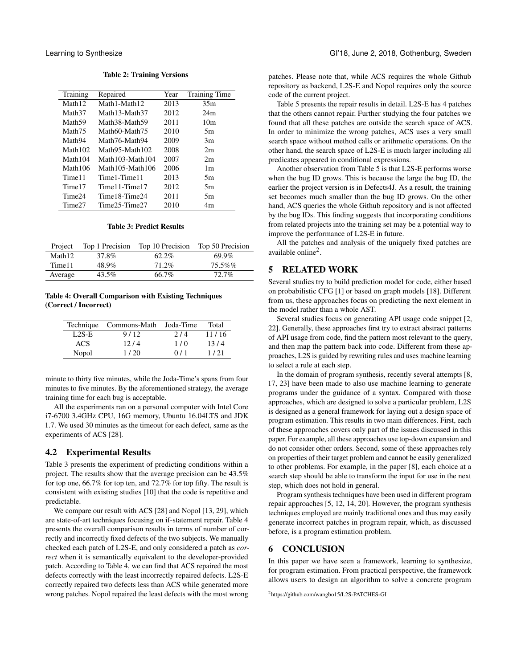|  | <b>Table 2: Training Versions</b> |  |
|--|-----------------------------------|--|
|--|-----------------------------------|--|

<span id="page-6-0"></span>

| Training           | Repaired               | Year | <b>Training Time</b> |
|--------------------|------------------------|------|----------------------|
| Math <sub>12</sub> | Math1-Math12           | 2013 | 35m                  |
| Math <sub>37</sub> | Math13-Math37          | 2012 | 24m                  |
| Math <sub>59</sub> | Math 38-Math 59        | 2011 | 10 <sub>m</sub>      |
| Math <sub>75</sub> | Math60-Math75          | 2010 | 5m                   |
| Math94             | Math76-Math94          | 2009 | 3m                   |
| Math102            | Math95-Math102         | 2008 | 2m                   |
| Math104            | Math $103$ -Math $104$ | 2007 | 2m                   |
| Math106            | Math105-Math106        | 2006 | 1m                   |
| Time11             | Time1-Time11           | 2013 | 5m                   |
| Time17             | Time11-Time17          | 2012 | 5m                   |
| Time24             | Time18-Time24          | 2011 | 5m                   |
| Time27             | Time25-Time27          | 2010 | 4m                   |

#### Table 3: Predict Results

<span id="page-6-1"></span>

| Project | Top 1 Precision | Top 10 Precision | Top 50 Precision |
|---------|-----------------|------------------|------------------|
| Math12  | 37.8%           | 62.2%            | 69.9%            |
| Time11  | 48.9%           | $71.2\%$         | $75.5\%$ %       |
| Average | $43.5\%$        | 66.7%            | $72.7\%$         |

#### <span id="page-6-2"></span>Table 4: Overall Comparison with Existing Techniques (Correct / Incorrect)

| Technique | Commons-Math | Joda-Time | Total |
|-----------|--------------|-----------|-------|
| $L2S-E$   | 9/12         | 2/4       | 11/16 |
| ACS.      | 12/4         | 1/0       | 13/4  |
| Nopol     | 1/20         | 0/1       | 1/21  |

minute to thirty five minutes, while the Joda-Time's spans from four minutes to five minutes. By the aforementioned strategy, the average training time for each bug is acceptable.

All the experiments ran on a personal computer with Intel Core i7-6700 3.4GHz CPU, 16G memory, Ubuntu 16.04LTS and JDK 1.7. We used 30 minutes as the timeout for each defect, same as the experiments of ACS [\[28\]](#page-7-9).

#### 4.2 Experimental Results

Table [3](#page-6-1) presents the experiment of predicting conditions within a project. The results show that the average precision can be 43.5% for top one, 66.7% for top ten, and 72.7% for top fifty. The result is consistent with existing studies [\[10\]](#page-7-18) that the code is repetitive and predictable.

We compare our result with ACS [\[28\]](#page-7-9) and Nopol [\[13,](#page-7-19) [29\]](#page-7-20), which are state-of-art techniques focusing on if-statement repair. Table [4](#page-6-2) presents the overall comparison results in terms of number of correctly and incorrectly fixed defects of the two subjects. We manually checked each patch of L2S-E, and only considered a patch as *correct* when it is semantically equivalent to the developer-provided patch. According to Table [4,](#page-6-2) we can find that ACS repaired the most defects correctly with the least incorrectly repaired defects. L2S-E correctly repaired two defects less than ACS while generated more wrong patches. Nopol repaired the least defects with the most wrong

patches. Please note that, while ACS requires the whole Github repository as backend, L2S-E and Nopol requires only the source code of the current project.

Table [5](#page-7-21) presents the repair results in detail. L2S-E has 4 patches that the others cannot repair. Further studying the four patches we found that all these patches are outside the search space of ACS. In order to minimize the wrong patches, ACS uses a very small search space without method calls or arithmetic operations. On the other hand, the search space of L2S-E is much larger including all predicates appeared in conditional expressions.

Another observation from Table [5](#page-7-21) is that L2S-E performs worse when the bug ID grows. This is because the large the bug ID, the earlier the project version is in Defects4J. As a result, the training set becomes much smaller than the bug ID grows. On the other hand, ACS queries the whole Github repository and is not affected by the bug IDs. This finding suggests that incorporating conditions from related projects into the training set may be a potential way to improve the performance of L2S-E in future.

All the patches and analysis of the uniquely fixed patches are available online<sup>[2](#page-6-3)</sup>.

# 5 RELATED WORK

Several studies try to build prediction model for code, either based on probabilistic CFG [\[1\]](#page-7-11) or based on graph models [\[18\]](#page-7-22). Different from us, these approaches focus on predicting the next element in the model rather than a whole AST.

Several studies focus on generating API usage code snippet [\[2,](#page-7-23) [22\]](#page-7-6). Generally, these approaches first try to extract abstract patterns of API usage from code, find the pattern most relevant to the query, and then map the pattern back into code. Different from these approaches, L2S is guided by rewriting rules and uses machine learning to select a rule at each step.

In the domain of program synthesis, recently several attempts [\[8,](#page-7-24) [17,](#page-7-25) [23\]](#page-7-26) have been made to also use machine learning to generate programs under the guidance of a syntax. Compared with those approaches, which are designed to solve a particular problem, L2S is designed as a general framework for laying out a design space of program estimation. This results in two main differences. First, each of these approaches covers only part of the issues discussed in this paper. For example, all these approaches use top-down expansion and do not consider other orders. Second, some of these approaches rely on properties of their target problem and cannot be easily generalized to other problems. For example, in the paper [\[8\]](#page-7-24), each choice at a search step should be able to transform the input for use in the next step, which does not hold in general.

Program synthesis techniques have been used in different program repair approaches [\[5,](#page-7-27) [12,](#page-7-28) [14,](#page-7-29) [20\]](#page-7-30). However, the program synthesis techniques employed are mainly traditional ones and thus may easily generate incorrect patches in program repair, which, as discussed before, is a program estimation problem.

### 6 CONCLUSION

In this paper we have seen a framework, learning to synthesize, for program estimation. From practical perspective, the framework allows users to design an algorithm to solve a concrete program

<span id="page-6-3"></span><sup>2</sup> https://github.com/wangbo15/L2S-PATCHES-GI